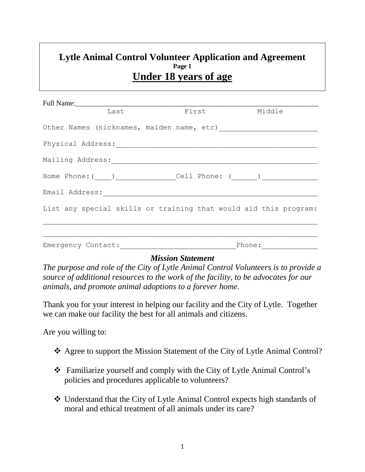## **Lytle Animal Control Volunteer Application and Agreement Page 1 Under 18 years of age**

|                                                                                                     |  | Last First Middle |                    |  |  |  |
|-----------------------------------------------------------------------------------------------------|--|-------------------|--------------------|--|--|--|
|                                                                                                     |  |                   |                    |  |  |  |
| Physical Address: Management Address: Management Address: Management Address: Management Address: A |  |                   |                    |  |  |  |
|                                                                                                     |  |                   |                    |  |  |  |
|                                                                                                     |  |                   |                    |  |  |  |
| Email Address: [1994] [1994]                                                                        |  |                   |                    |  |  |  |
| List any special skills or training that would aid this program:                                    |  |                   |                    |  |  |  |
|                                                                                                     |  |                   |                    |  |  |  |
|                                                                                                     |  |                   | Phone: ___________ |  |  |  |
|                                                                                                     |  |                   |                    |  |  |  |

## *Mission Statement*

*The purpose and role of the City of Lytle Animal Control Volunteers is to provide a source of additional resources to the work of the facility, to be advocates for our animals, and promote animal adoptions to a forever home.* 

Thank you for your interest in helping our facility and the City of Lytle. Together we can make our facility the best for all animals and citizens.

Are you willing to:

- Agree to support the Mission Statement of the City of Lytle Animal Control?
- Familiarize yourself and comply with the City of Lytle Animal Control's policies and procedures applicable to volunteers?
- Understand that the City of Lytle Animal Control expects high standards of moral and ethical treatment of all animals under its care?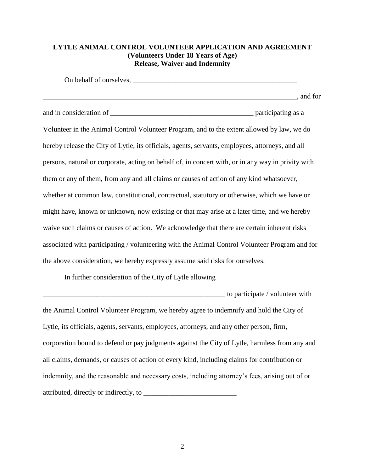## **LYTLE ANIMAL CONTROL VOLUNTEER APPLICATION AND AGREEMENT (Volunteers Under 18 Years of Age) Release, Waiver and Indemnity**

On behalf of ourselves, \_\_\_\_\_\_\_\_\_\_\_\_\_\_\_\_\_\_\_\_\_\_\_\_\_\_\_\_\_\_\_\_\_\_\_\_\_\_\_\_\_\_\_\_\_\_\_\_\_\_\_\_\_\_\_\_\_\_\_\_\_\_\_\_\_\_\_\_\_\_\_, and for and in consideration of \_\_\_\_\_\_\_\_\_\_\_\_\_\_\_\_\_\_\_\_\_\_\_\_\_\_\_\_\_\_\_\_\_\_\_\_\_\_\_\_ participating as a Volunteer in the Animal Control Volunteer Program, and to the extent allowed by law, we do hereby release the City of Lytle, its officials, agents, servants, employees, attorneys, and all persons, natural or corporate, acting on behalf of, in concert with, or in any way in privity with them or any of them, from any and all claims or causes of action of any kind whatsoever, whether at common law, constitutional, contractual, statutory or otherwise, which we have or might have, known or unknown, now existing or that may arise at a later time, and we hereby waive such claims or causes of action. We acknowledge that there are certain inherent risks associated with participating / volunteering with the Animal Control Volunteer Program and for the above consideration, we hereby expressly assume said risks for ourselves.

In further consideration of the City of Lytle allowing

to participate / volunteer with the Animal Control Volunteer Program, we hereby agree to indemnify and hold the City of Lytle, its officials, agents, servants, employees, attorneys, and any other person, firm, corporation bound to defend or pay judgments against the City of Lytle, harmless from any and all claims, demands, or causes of action of every kind, including claims for contribution or indemnity, and the reasonable and necessary costs, including attorney's fees, arising out of or attributed, directly or indirectly, to \_\_\_\_\_\_\_\_\_\_\_\_\_\_\_\_\_\_\_\_\_\_\_\_\_\_